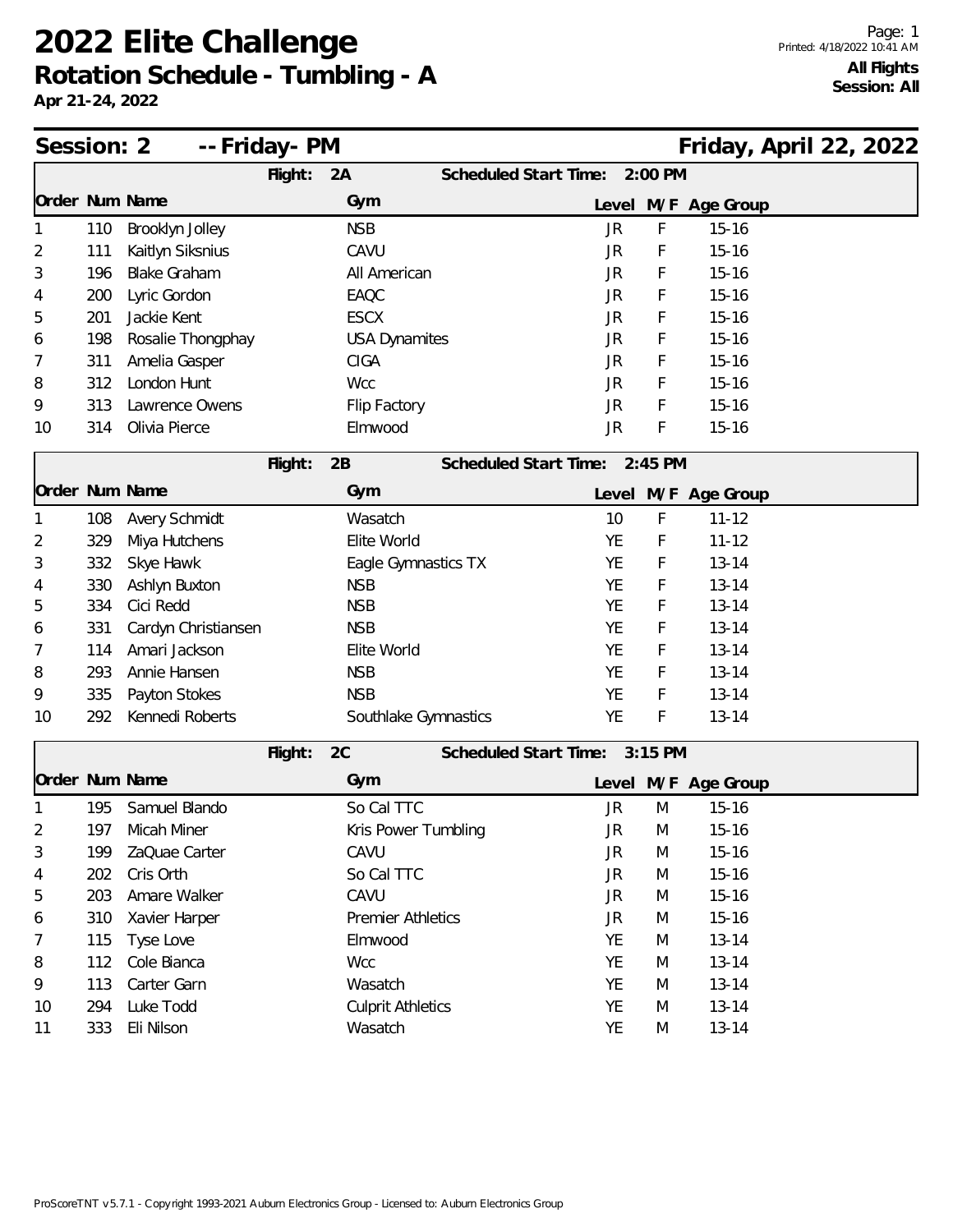| Session: 2<br>-- Friday- PM |     |                     |         |                          |                               |           |           |                     | Friday, April 22, 2022 |  |
|-----------------------------|-----|---------------------|---------|--------------------------|-------------------------------|-----------|-----------|---------------------|------------------------|--|
|                             |     |                     | Flight: | 2A                       | Scheduled Start Time:         |           | $2:00$ PM |                     |                        |  |
|                             |     | Order Num Name      |         | Gym                      |                               |           |           | Level M/F Age Group |                        |  |
|                             | 110 | Brooklyn Jolley     |         | <b>NSB</b>               |                               | JR        | F         | $15 - 16$           |                        |  |
| 2                           | 111 | Kaitlyn Siksnius    |         | CAVU                     |                               | <b>JR</b> | F         | $15 - 16$           |                        |  |
| 3                           | 196 | <b>Blake Graham</b> |         | All American             |                               | JR.       | F         | $15 - 16$           |                        |  |
| 4                           | 200 | Lyric Gordon        |         | EAQC                     |                               | JR        | F         | $15 - 16$           |                        |  |
| 5                           | 201 | Jackie Kent         |         | <b>ESCX</b>              |                               | <b>JR</b> | F         | $15 - 16$           |                        |  |
| 6                           | 198 | Rosalie Thongphay   |         | <b>USA Dynamites</b>     |                               | JR.       | F         | $15 - 16$           |                        |  |
| 7                           | 311 | Amelia Gasper       |         | <b>CIGA</b>              |                               | JR        | F         | $15 - 16$           |                        |  |
| 8                           | 312 | London Hunt         |         | <b>Wcc</b>               |                               | JR        | F         | $15 - 16$           |                        |  |
| 9                           | 313 | Lawrence Owens      |         | Flip Factory             |                               | <b>JR</b> | F         | $15 - 16$           |                        |  |
| 10                          | 314 | Olivia Pierce       |         | Elmwood                  |                               | JR.       | F         | $15 - 16$           |                        |  |
|                             |     |                     | Flight: | 2B                       | Scheduled Start Time: 2:45 PM |           |           |                     |                        |  |
| Order Num Name              |     |                     |         | Gym                      |                               |           |           | Level M/F Age Group |                        |  |
|                             | 108 | Avery Schmidt       |         | Wasatch                  |                               | 10        | F         | $11 - 12$           |                        |  |
| 2                           | 329 | Miya Hutchens       |         | Elite World              |                               | <b>YE</b> | F         | $11 - 12$           |                        |  |
| 3                           | 332 | Skye Hawk           |         | Eagle Gymnastics TX      |                               | <b>YE</b> | F         | $13 - 14$           |                        |  |
| 4                           | 330 | Ashlyn Buxton       |         | <b>NSB</b>               |                               | <b>YE</b> | F         | $13 - 14$           |                        |  |
| 5                           | 334 | Cici Redd           |         | <b>NSB</b>               |                               | YE        | F         | $13 - 14$           |                        |  |
| 6                           | 331 | Cardyn Christiansen |         | <b>NSB</b>               |                               | <b>YE</b> | F         | $13 - 14$           |                        |  |
| 7                           | 114 | Amari Jackson       |         | Elite World              |                               | <b>YE</b> | F         | $13 - 14$           |                        |  |
| 8                           | 293 | Annie Hansen        |         | <b>NSB</b>               |                               | YE        | F         | $13 - 14$           |                        |  |
| 9                           | 335 | Payton Stokes       |         | <b>NSB</b>               |                               | YE        | F         | $13 - 14$           |                        |  |
| 10                          | 292 | Kennedi Roberts     |         | Southlake Gymnastics     |                               | YE        | F         | $13 - 14$           |                        |  |
|                             |     |                     | Flight: | 2C                       | Scheduled Start Time: 3:15 PM |           |           |                     |                        |  |
| Order Num Name              |     |                     |         | Gym                      |                               |           |           | Level M/F Age Group |                        |  |
|                             | 195 | Samuel Blando       |         | So Cal TTC               |                               | JR        | M         | $15 - 16$           |                        |  |
| 2                           |     | 197 Micah Miner     |         | Kris Power Tumbling      |                               | JR        | M         | $15 - 16$           |                        |  |
| 3                           | 199 | ZaQuae Carter       |         | CAVU                     |                               | JR        | M         | $15 - 16$           |                        |  |
| 4                           | 202 | Cris Orth           |         | So Cal TTC               |                               | JR        | M         | $15 - 16$           |                        |  |
| 5                           | 203 | Amare Walker        |         | CAVU                     |                               | JR        | M         | $15 - 16$           |                        |  |
| 6                           | 310 | Xavier Harper       |         | <b>Premier Athletics</b> |                               | JR        | M         | $15 - 16$           |                        |  |
| 7                           | 115 | Tyse Love           |         | Elmwood                  |                               | YE        | M         | $13 - 14$           |                        |  |
| 8                           | 112 | Cole Bianca         |         | <b>Wcc</b>               |                               | YE        | M         | $13 - 14$           |                        |  |
| 9                           | 113 | Carter Garn         |         | Wasatch                  |                               | YE        | M         | $13 - 14$           |                        |  |
| 10                          | 294 | Luke Todd           |         | <b>Culprit Athletics</b> |                               | YE        | M         | $13 - 14$           |                        |  |
| 11                          | 333 | Eli Nilson          |         | Wasatch                  |                               | YE        | M         | $13 - 14$           |                        |  |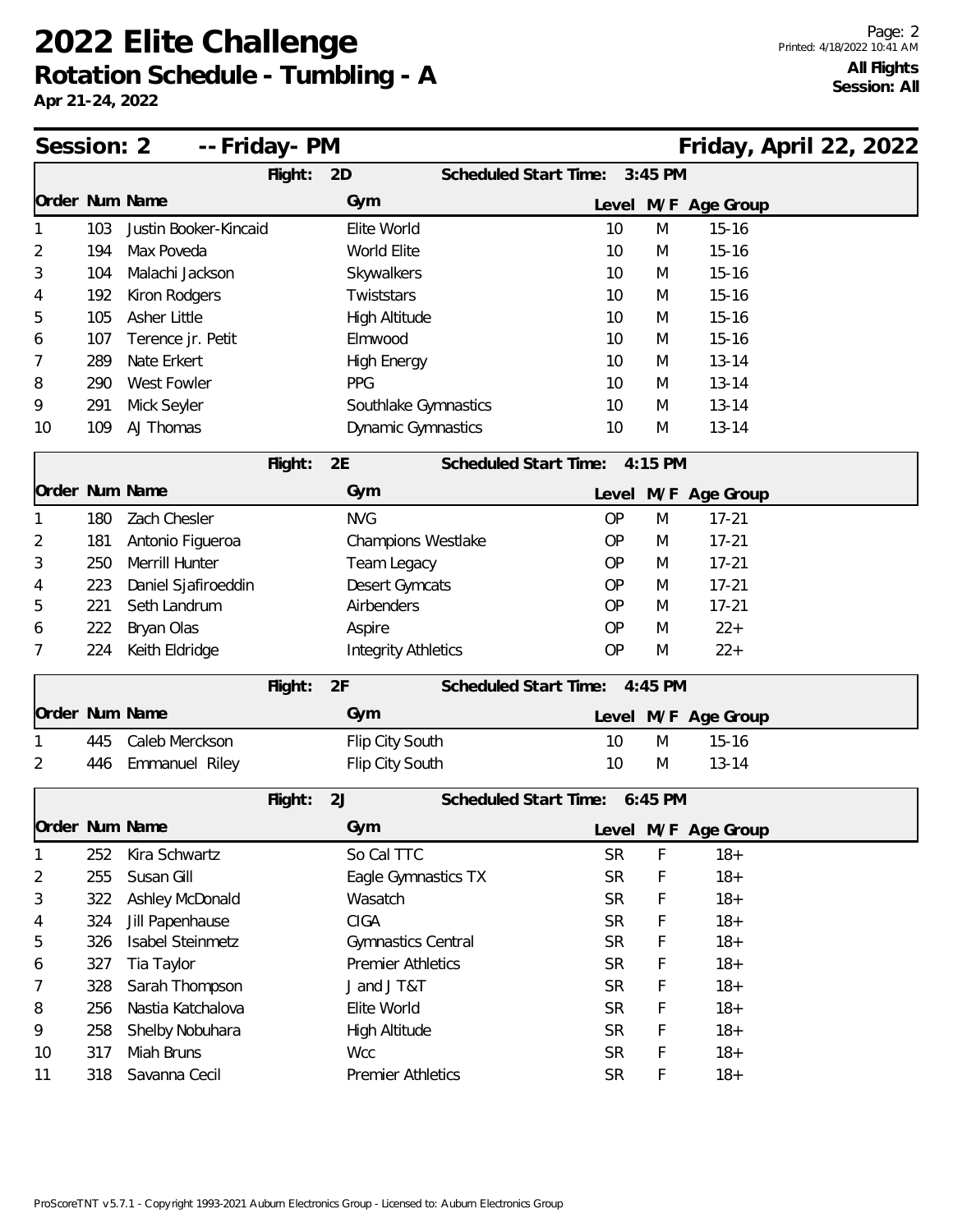| Session: 2<br>-- Friday- PM |     |                       |                       |                                    |                      |                               |   | Friday, April 22, 2022 |  |  |
|-----------------------------|-----|-----------------------|-----------------------|------------------------------------|----------------------|-------------------------------|---|------------------------|--|--|
|                             |     |                       | Scheduled Start Time: | $3:45$ PM                          |                      |                               |   |                        |  |  |
| Order Num Name              |     |                       |                       | Gym                                |                      |                               |   | Level M/F Age Group    |  |  |
|                             | 103 | Justin Booker-Kincaid |                       | Elite World                        |                      | 10                            | M | $15 - 16$              |  |  |
| 2                           | 194 | Max Poveda            |                       | World Elite                        |                      | 10                            | M | $15 - 16$              |  |  |
| 3                           | 104 | Malachi Jackson       |                       | Skywalkers                         |                      | 10                            | M | $15 - 16$              |  |  |
| 4                           | 192 | Kiron Rodgers         |                       | Twiststars                         |                      | 10                            | M | $15 - 16$              |  |  |
| 5                           | 105 | Asher Little          |                       | <b>High Altitude</b>               |                      | 10                            | M | $15 - 16$              |  |  |
| 6                           | 107 | Terence jr. Petit     |                       | Elmwood                            |                      | 10                            | M | $15 - 16$              |  |  |
| 7                           | 289 | Nate Erkert           |                       | <b>High Energy</b>                 |                      | 10                            | M | $13 - 14$              |  |  |
| 8                           | 290 | West Fowler           |                       | PPG                                |                      | 10                            | M | $13 - 14$              |  |  |
| 9                           | 291 | Mick Seyler           |                       |                                    | Southlake Gymnastics | 10                            | M | $13 - 14$              |  |  |
| 10                          | 109 | AJ Thomas             |                       |                                    | Dynamic Gymnastics   | 10                            | M | $13 - 14$              |  |  |
|                             |     |                       | Flight:               | 2E                                 |                      | Scheduled Start Time: 4:15 PM |   |                        |  |  |
| Order Num Name              |     |                       |                       | Gym                                |                      |                               |   | Level M/F Age Group    |  |  |
|                             | 180 | Zach Chesler          |                       | <b>NVG</b>                         |                      | <b>OP</b>                     | M | $17 - 21$              |  |  |
| 2                           | 181 | Antonio Figueroa      |                       |                                    | Champions Westlake   | <b>OP</b>                     | M | $17 - 21$              |  |  |
| 3                           | 250 | Merrill Hunter        |                       | Team Legacy<br>OP                  |                      |                               | M | $17 - 21$              |  |  |
| 4                           | 223 | Daniel Sjafiroeddin   |                       | <b>Desert Gymcats</b><br><b>OP</b> |                      |                               | M | $17 - 21$              |  |  |
| 5                           | 221 | Seth Landrum          |                       | Airbenders<br><b>OP</b>            |                      |                               | M | $17 - 21$              |  |  |
| 6                           | 222 | Bryan Olas            |                       | <b>OP</b><br>Aspire                |                      |                               | M | $22+$                  |  |  |
| 7                           | 224 | Keith Eldridge        |                       | <b>Integrity Athletics</b>         |                      | <b>OP</b>                     | M | $22+$                  |  |  |
|                             |     |                       | Flight:               | 2F                                 |                      | Scheduled Start Time: 4:45 PM |   |                        |  |  |
| Order Num Name              |     |                       |                       | Gym                                |                      |                               |   | Level M/F Age Group    |  |  |
|                             | 445 | Caleb Merckson        |                       | Flip City South                    |                      | 10                            | M | $15 - 16$              |  |  |
| 2                           | 446 | Emmanuel Riley        |                       | Flip City South                    |                      | 10                            | M | $13 - 14$              |  |  |
|                             |     |                       |                       |                                    |                      |                               |   |                        |  |  |
|                             |     |                       | Flight:               | 2J                                 |                      | Scheduled Start Time: 6:45 PM |   |                        |  |  |
| Order Num Name              |     |                       |                       | Gym                                |                      |                               |   | Level M/F Age Group    |  |  |
| 1                           | 252 | Kira Schwartz         |                       | So Cal TTC                         |                      | <b>SR</b>                     | F | $18 +$                 |  |  |
| 2                           | 255 | Susan Gill            |                       |                                    | Eagle Gymnastics TX  | <b>SR</b>                     | F | $18 +$                 |  |  |
| 3                           | 322 | Ashley McDonald       |                       | Wasatch                            |                      | <b>SR</b>                     | F | $18 +$                 |  |  |
| 4                           | 324 | Jill Papenhause       |                       | <b>CIGA</b>                        |                      | <b>SR</b>                     | F | $18+$                  |  |  |
| 5                           | 326 | Isabel Steinmetz      |                       | Gymnastics Central                 |                      | <b>SR</b>                     | F | $18 +$                 |  |  |
| 6                           | 327 | Tia Taylor            |                       | <b>Premier Athletics</b>           |                      | <b>SR</b>                     | F | $18 +$                 |  |  |
| 7                           | 328 | Sarah Thompson        |                       | J and J T&T                        |                      | <b>SR</b>                     | F | $18 +$                 |  |  |
| 8                           | 256 | Nastia Katchalova     |                       | Elite World                        |                      | <b>SR</b>                     | F | $18 +$                 |  |  |
| 9                           | 258 | Shelby Nobuhara       |                       | High Altitude                      |                      | <b>SR</b>                     | F | $18 +$                 |  |  |
| 10                          | 317 | Miah Bruns            |                       | <b>Wcc</b>                         |                      | <b>SR</b>                     | F | $18 +$                 |  |  |
| 11                          | 318 | Savanna Cecil         |                       | <b>Premier Athletics</b>           |                      | SR                            | F | $18+$                  |  |  |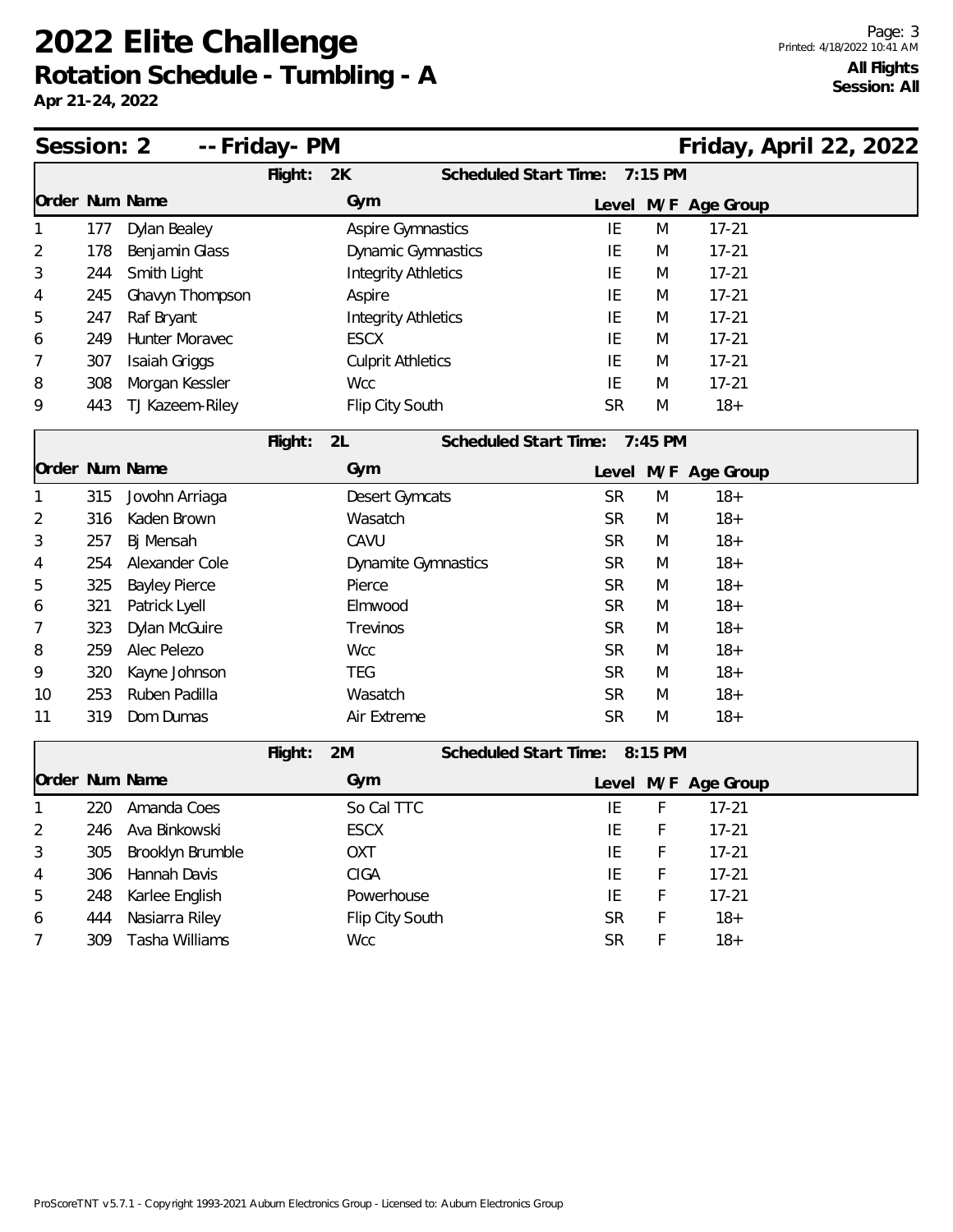| -- Friday- PM<br>Session: 2 |                                        |                      |         |                            |  |                               |   |                     | Friday, April 22, 2022 |  |
|-----------------------------|----------------------------------------|----------------------|---------|----------------------------|--|-------------------------------|---|---------------------|------------------------|--|
|                             | Flight:<br>Scheduled Start Time:<br>2K |                      |         |                            |  |                               |   | 7:15 PM             |                        |  |
| Order Num Name              |                                        |                      |         | Gym                        |  |                               |   | Level M/F Age Group |                        |  |
| 1                           | 177                                    | Dylan Bealey         |         | Aspire Gymnastics          |  | IE                            | M | $17 - 21$           |                        |  |
| 2                           | 178                                    | Benjamin Glass       |         | Dynamic Gymnastics         |  | IE                            | M | $17 - 21$           |                        |  |
| 3                           | 244                                    | Smith Light          |         | <b>Integrity Athletics</b> |  | IE                            | M | $17 - 21$           |                        |  |
| 4                           | 245                                    | Ghavyn Thompson      |         | Aspire                     |  | IE                            | M | $17 - 21$           |                        |  |
| 5                           | 247                                    | Raf Bryant           |         | <b>Integrity Athletics</b> |  | IE                            | M | $17 - 21$           |                        |  |
| 6                           | 249                                    | Hunter Moravec       |         | <b>ESCX</b>                |  | IE                            | M | $17 - 21$           |                        |  |
| 7                           | 307                                    | Isaiah Griggs        |         | <b>Culprit Athletics</b>   |  | IE                            | M | $17 - 21$           |                        |  |
| 8                           | 308                                    | Morgan Kessler       |         | <b>Wcc</b>                 |  | IE                            | M | $17 - 21$           |                        |  |
| 9                           | 443                                    | TJ Kazeem-Riley      |         | Flip City South            |  | <b>SR</b>                     | M | $18+$               |                        |  |
|                             |                                        |                      | Flight: | 2L                         |  | Scheduled Start Time: 7:45 PM |   |                     |                        |  |
| Order Num Name              |                                        |                      |         | Gym                        |  |                               |   | Level M/F Age Group |                        |  |
| 1                           | 315                                    | Jovohn Arriaga       |         | Desert Gymcats             |  | <b>SR</b>                     | M | $18+$               |                        |  |
| 2                           | 316                                    | Kaden Brown          |         | Wasatch                    |  | <b>SR</b>                     | M | $18 +$              |                        |  |
| 3                           | 257                                    | Bj Mensah            |         | CAVU                       |  | <b>SR</b>                     | M | $18+$               |                        |  |
| 4                           | 254                                    | Alexander Cole       |         | <b>Dynamite Gymnastics</b> |  | <b>SR</b>                     | M | $18 +$              |                        |  |
| 5                           | 325                                    | <b>Bayley Pierce</b> |         | Pierce                     |  | <b>SR</b>                     | M | $18+$               |                        |  |
| 6                           | 321                                    | Patrick Lyell        |         | Elmwood                    |  | <b>SR</b>                     | M | $18 +$              |                        |  |
| 7                           | 323                                    | Dylan McGuire        |         | Trevinos                   |  | <b>SR</b>                     | M | $18 +$              |                        |  |
| 8                           | 259                                    | Alec Pelezo          |         | <b>Wcc</b>                 |  | <b>SR</b>                     | M | $18+$               |                        |  |
| 9                           | 320                                    | Kayne Johnson        |         | <b>TEG</b>                 |  | <b>SR</b>                     | M | $18 +$              |                        |  |
| 10                          | 253                                    | Ruben Padilla        |         | Wasatch                    |  | <b>SR</b>                     | M | $18 +$              |                        |  |
| 11                          | 319                                    | Dom Dumas            |         | Air Extreme                |  | <b>SR</b>                     | M | $18 +$              |                        |  |
|                             |                                        |                      | Flight: | 2M                         |  | Scheduled Start Time: 8:15 PM |   |                     |                        |  |
| Order Num Name              |                                        |                      |         | Gym                        |  |                               |   | Level M/F Age Group |                        |  |
|                             | 220                                    | Amanda Coes          |         | So Cal TTC                 |  | IE                            | F | $17 - 21$           |                        |  |
|                             |                                        | 246 Ava Binkowski    |         | ESCX                       |  | IE                            | F | $17 - 21$           |                        |  |
| 3                           | 305                                    | Brooklyn Brumble     |         | <b>OXT</b>                 |  | IE                            | F | $17 - 21$           |                        |  |
| 4                           | 306                                    | Hannah Davis         |         | <b>CIGA</b>                |  | IE                            | F | $17 - 21$           |                        |  |
| 5                           | 248                                    | Karlee English       |         | Powerhouse                 |  | IE                            | F | $17 - 21$           |                        |  |
| 6                           | 444                                    | Nasiarra Riley       |         | Flip City South            |  | <b>SR</b>                     | F | $18 +$              |                        |  |
| 7                           | 309                                    | Tasha Williams       |         | Wcc                        |  | <b>SR</b>                     | F | $18 +$              |                        |  |